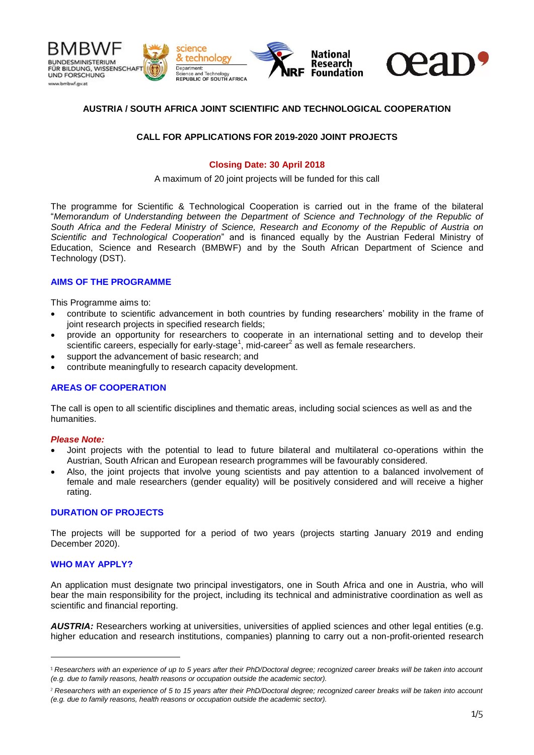

# **AUSTRIA / SOUTH AFRICA JOINT SCIENTIFIC AND TECHNOLOGICAL COOPERATION**

### **CALL FOR APPLICATIONS FOR 2019-2020 JOINT PROJECTS**

## **Closing Date: 30 April 2018**

A maximum of 20 joint projects will be funded for this call

The programme for Scientific & Technological Cooperation is carried out in the frame of the bilateral "*Memorandum of Understanding between the Department of Science and Technology of the Republic of South Africa and the Federal Ministry of Science, Research and Economy of the Republic of Austria on Scientific and Technological Cooperation*" and is financed equally by the Austrian Federal Ministry of Education, Science and Research (BMBWF) and by the South African Department of Science and Technology (DST).

#### **AIMS OF THE PROGRAMME**

This Programme aims to:

- contribute to scientific advancement in both countries by funding researchers' mobility in the frame of joint research projects in specified research fields;
- provide an opportunity for researchers to cooperate in an international setting and to develop their scientific careers, especially for early-stage<sup>1</sup>, mid-career<sup>2</sup> as well as female researchers.
- support the advancement of basic research; and
- contribute meaningfully to research capacity development.

## **AREAS OF COOPERATION**

The call is open to all scientific disciplines and thematic areas, including social sciences as well as and the humanities.

#### *Please Note:*

- Joint projects with the potential to lead to future bilateral and multilateral co-operations within the Austrian, South African and European research programmes will be favourably considered.
- Also, the joint projects that involve young scientists and pay attention to a balanced involvement of female and male researchers (gender equality) will be positively considered and will receive a higher rating.

#### **DURATION OF PROJECTS**

The projects will be supported for a period of two years (projects starting January 2019 and ending December 2020).

#### **WHO MAY APPLY?**

An application must designate two principal investigators, one in South Africa and one in Austria, who will bear the main responsibility for the project, including its technical and administrative coordination as well as scientific and financial reporting.

*AUSTRIA:* Researchers working at universities, universities of applied sciences and other legal entities (e.g. higher education and research institutions, companies) planning to carry out a non-profit-oriented research

<sup>&</sup>lt;sup>1</sup> Researchers with an experience of up to 5 years after their PhD/Doctoral degree; recognized career breaks will be taken into account *(e.g. due to family reasons, health reasons or occupation outside the academic sector).*

*Researchers with an experience of 5 to 15 years after their PhD/Doctoral degree; recognized career breaks will be taken into account (e.g. due to family reasons, health reasons or occupation outside the academic sector).*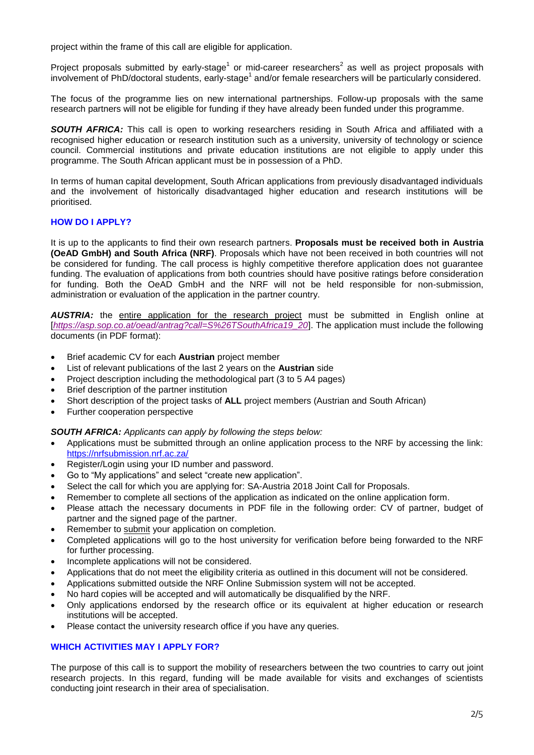project within the frame of this call are eligible for application.

Project proposals submitted by early-stage<sup>1</sup> or mid-career researchers<sup>2</sup> as well as project proposals with involvement of PhD/doctoral students, early-stage<sup>1</sup> and/or female researchers will be particularly considered.

The focus of the programme lies on new international partnerships. Follow-up proposals with the same research partners will not be eligible for funding if they have already been funded under this programme.

*SOUTH AFRICA:* This call is open to working researchers residing in South Africa and affiliated with a recognised higher education or research institution such as a university, university of technology or science council. Commercial institutions and private education institutions are not eligible to apply under this programme. The South African applicant must be in possession of a PhD.

In terms of human capital development, South African applications from previously disadvantaged individuals and the involvement of historically disadvantaged higher education and research institutions will be prioritised.

## **HOW DO I APPLY?**

It is up to the applicants to find their own research partners. **Proposals must be received both in Austria (OeAD GmbH) and South Africa (NRF)**. Proposals which have not been received in both countries will not be considered for funding. The call process is highly competitive therefore application does not guarantee funding. The evaluation of applications from both countries should have positive ratings before consideration for funding. Both the OeAD GmbH and the NRF will not be held responsible for non-submission, administration or evaluation of the application in the partner country.

*AUSTRIA:* the entire application for the research project must be submitted in English online at [*[https://asp.sop.co.at/oead/antrag?call=S%26TSouthAfrica19\\_20](https://asp.sop.co.at/oead/antrag?call=S%26TSouthAfrica19_20)*]. The application must include the following documents (in PDF format):

- Brief academic CV for each **Austrian** project member
- List of relevant publications of the last 2 years on the **Austrian** side
- Project description including the methodological part (3 to 5 A4 pages)
- Brief description of the partner institution
- Short description of the project tasks of **ALL** project members (Austrian and South African)
- Further cooperation perspective

*SOUTH AFRICA: Applicants can apply by following the steps below:*

- Applications must be submitted through an online application process to the NRF by accessing the link: <https://nrfsubmission.nrf.ac.za/>
- Register/Login using your ID number and password.
- Go to "My applications" and select "create new application".
- Select the call for which you are applying for: SA-Austria 2018 Joint Call for Proposals.
- Remember to complete all sections of the application as indicated on the online application form.
- Please attach the necessary documents in PDF file in the following order: CV of partner, budget of partner and the signed page of the partner.
- Remember to submit your application on completion.
- Completed applications will go to the host university for verification before being forwarded to the NRF for further processing.
- Incomplete applications will not be considered.
- Applications that do not meet the eligibility criteria as outlined in this document will not be considered.
- Applications submitted outside the NRF Online Submission system will not be accepted.
- No hard copies will be accepted and will automatically be disqualified by the NRF.
- Only applications endorsed by the research office or its equivalent at higher education or research institutions will be accepted.
- Please contact the university research office if you have any queries.

## **WHICH ACTIVITIES MAY I APPLY FOR?**

The purpose of this call is to support the mobility of researchers between the two countries to carry out joint research projects. In this regard, funding will be made available for visits and exchanges of scientists conducting joint research in their area of specialisation.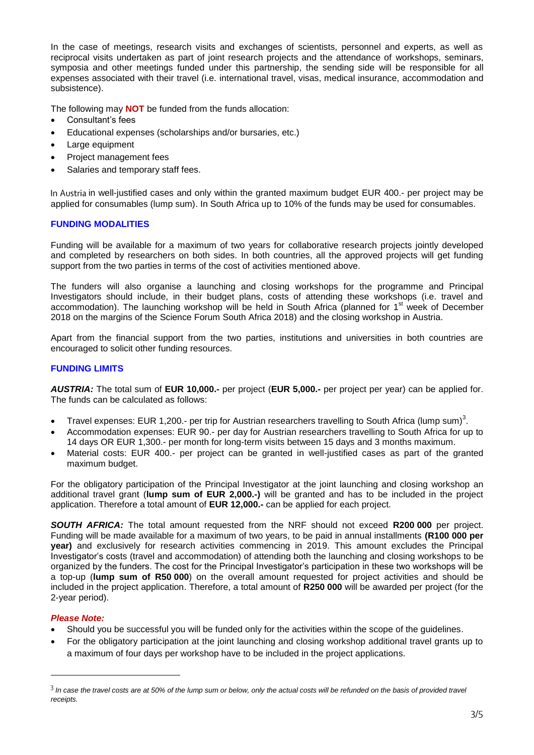In the case of meetings, research visits and exchanges of scientists, personnel and experts, as well as reciprocal visits undertaken as part of joint research projects and the attendance of workshops, seminars, symposia and other meetings funded under this partnership, the sending side will be responsible for all expenses associated with their travel (i.e. international travel, visas, medical insurance, accommodation and subsistence).

The following may **NOT** be funded from the funds allocation:

- Consultant's fees
- Educational expenses (scholarships and/or bursaries, etc.)
- Large equipment
- Project management fees
- Salaries and temporary staff fees.

In Austria in well-justified cases and only within the granted maximum budget EUR 400.- per project may be applied for consumables (lump sum). In South Africa up to 10% of the funds may be used for consumables.

#### **FUNDING MODALITIES**

Funding will be available for a maximum of two years for collaborative research projects jointly developed and completed by researchers on both sides. In both countries, all the approved projects will get funding support from the two parties in terms of the cost of activities mentioned above.

The funders will also organise a launching and closing workshops for the programme and Principal Investigators should include, in their budget plans, costs of attending these workshops (i.e. travel and accommodation). The launching workshop will be held in South Africa (planned for 1<sup>st</sup> week of December 2018 on the margins of the Science Forum South Africa 2018) and the closing workshop in Austria.

Apart from the financial support from the two parties, institutions and universities in both countries are encouraged to solicit other funding resources.

#### **FUNDING LIMITS**

*AUSTRIA:* The total sum of **EUR 10,000.-** per project (**EUR 5,000.-** per project per year) can be applied for. The funds can be calculated as follows:

- Travel expenses: EUR 1,200.- per trip for Austrian researchers travelling to South Africa (lump sum)<sup>3</sup>.
- Accommodation expenses: EUR 90.- per day for Austrian researchers travelling to South Africa for up to 14 days OR EUR 1,300.- per month for long-term visits between 15 days and 3 months maximum.
- Material costs: EUR 400.- per project can be granted in well-justified cases as part of the granted maximum budget.

For the obligatory participation of the Principal Investigator at the joint launching and closing workshop an additional travel grant (**lump sum of EUR 2,000.-)** will be granted and has to be included in the project application. Therefore a total amount of **EUR 12,000.-** can be applied for each project.

*SOUTH AFRICA:* The total amount requested from the NRF should not exceed **R200 000** per project. Funding will be made available for a maximum of two years, to be paid in annual installments **(R100 000 per year)** and exclusively for research activities commencing in 2019. This amount excludes the Principal Investigator's costs (travel and accommodation) of attending both the launching and closing workshops to be organized by the funders. The cost for the Principal Investigator's participation in these two workshops will be a top-up (**lump sum of R50 000**) on the overall amount requested for project activities and should be included in the project application. Therefore, a total amount of **R250 000** will be awarded per project (for the 2-year period).

#### *Please Note:*

- Should you be successful you will be funded only for the activities within the scope of the guidelines.
- For the obligatory participation at the joint launching and closing workshop additional travel grants up to a maximum of four days per workshop have to be included in the project applications.

<sup>&</sup>lt;sup>3</sup> In case the travel costs are at 50% of the lump sum or below, only the actual costs will be refunded on the basis of provided travel *receipts.*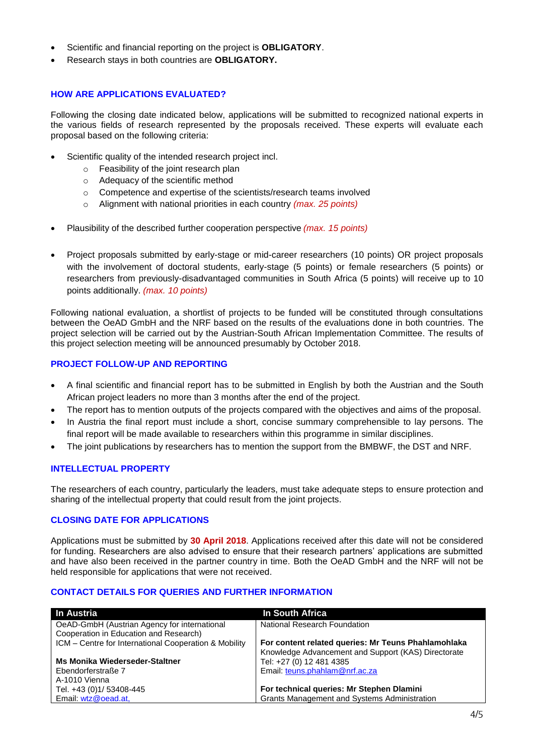- Scientific and financial reporting on the project is **OBLIGATORY**.
- Research stays in both countries are **OBLIGATORY.**

# **HOW ARE APPLICATIONS EVALUATED?**

Following the closing date indicated below, applications will be submitted to recognized national experts in the various fields of research represented by the proposals received. These experts will evaluate each proposal based on the following criteria:

- Scientific quality of the intended research project incl.
	- o Feasibility of the joint research plan
	- o Adequacy of the scientific method
	- o Competence and expertise of the scientists/research teams involved
	- o Alignment with national priorities in each country *(max. 25 points)*
- Plausibility of the described further cooperation perspective *(max. 15 points)*
- Project proposals submitted by early-stage or mid-career researchers (10 points) OR project proposals with the involvement of doctoral students, early-stage (5 points) or female researchers (5 points) or researchers from previously-disadvantaged communities in South Africa (5 points) will receive up to 10 points additionally. *(max. 10 points)*

Following national evaluation, a shortlist of projects to be funded will be constituted through consultations between the OeAD GmbH and the NRF based on the results of the evaluations done in both countries. The project selection will be carried out by the Austrian-South African Implementation Committee. The results of this project selection meeting will be announced presumably by October 2018.

# **PROJECT FOLLOW-UP AND REPORTING**

- A final scientific and financial report has to be submitted in English by both the Austrian and the South African project leaders no more than 3 months after the end of the project.
- The report has to mention outputs of the projects compared with the objectives and aims of the proposal.
- In Austria the final report must include a short, concise summary comprehensible to lay persons. The final report will be made available to researchers within this programme in similar disciplines.
- The joint publications by researchers has to mention the support from the BMBWF, the DST and NRF.

# **INTELLECTUAL PROPERTY**

The researchers of each country, particularly the leaders, must take adequate steps to ensure protection and sharing of the intellectual property that could result from the joint projects.

## **CLOSING DATE FOR APPLICATIONS**

Applications must be submitted by **30 April 2018**. Applications received after this date will not be considered for funding. Researchers are also advised to ensure that their research partners' applications are submitted and have also been received in the partner country in time. Both the OeAD GmbH and the NRF will not be held responsible for applications that were not received.

## **CONTACT DETAILS FOR QUERIES AND FURTHER INFORMATION**

| <b>In Austria</b>                                     | In South Africa                                     |
|-------------------------------------------------------|-----------------------------------------------------|
| OeAD-GmbH (Austrian Agency for international          | National Research Foundation                        |
| Cooperation in Education and Research)                |                                                     |
| ICM – Centre for International Cooperation & Mobility | For content related queries: Mr Teuns Phahlamohlaka |
|                                                       | Knowledge Advancement and Support (KAS) Directorate |
| Ms Monika Wiederseder-Staltner                        | Tel: +27 (0) 12 481 4385                            |
| Ebendorferstraße 7                                    | Email: teuns.phahlam@nrf.ac.za                      |
| A-1010 Vienna                                         |                                                     |
| Tel. +43 (0)1/ 53408-445                              | For technical queries: Mr Stephen Dlamini           |
| Email: wtz@oead.at,                                   | <b>Grants Management and Systems Administration</b> |